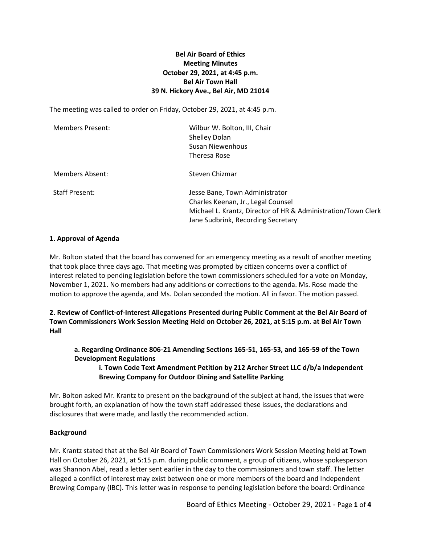# **Bel Air Board of Ethics Meeting Minutes October 29, 2021, at 4:45 p.m. Bel Air Town Hall 39 N. Hickory Ave., Bel Air, MD 21014**

The meeting was called to order on Friday, October 29, 2021, at 4:45 p.m.

| <b>Members Present:</b> | Wilbur W. Bolton, III, Chair<br>Shelley Dolan<br>Susan Niewenhous<br>Theresa Rose                                                                                           |
|-------------------------|-----------------------------------------------------------------------------------------------------------------------------------------------------------------------------|
| Members Absent:         | Steven Chizmar                                                                                                                                                              |
| <b>Staff Present:</b>   | Jesse Bane, Town Administrator<br>Charles Keenan, Jr., Legal Counsel<br>Michael L. Krantz, Director of HR & Administration/Town Clerk<br>Jane Sudbrink, Recording Secretary |

### **1. Approval of Agenda**

Mr. Bolton stated that the board has convened for an emergency meeting as a result of another meeting that took place three days ago. That meeting was prompted by citizen concerns over a conflict of interest related to pending legislation before the town commissioners scheduled for a vote on Monday, November 1, 2021. No members had any additions or corrections to the agenda. Ms. Rose made the motion to approve the agenda, and Ms. Dolan seconded the motion. All in favor. The motion passed.

**2. Review of Conflict-of-Interest Allegations Presented during Public Comment at the Bel Air Board of Town Commissioners Work Session Meeting Held on October 26, 2021, at 5:15 p.m. at Bel Air Town Hall**

**a. Regarding Ordinance 806-21 Amending Sections 165-51, 165-53, and 165-59 of the Town Development Regulations**

**i. Town Code Text Amendment Petition by 212 Archer Street LLC d/b/a Independent Brewing Company for Outdoor Dining and Satellite Parking**

Mr. Bolton asked Mr. Krantz to present on the background of the subject at hand, the issues that were brought forth, an explanation of how the town staff addressed these issues, the declarations and disclosures that were made, and lastly the recommended action.

# **Background**

Mr. Krantz stated that at the Bel Air Board of Town Commissioners Work Session Meeting held at Town Hall on October 26, 2021, at 5:15 p.m. during public comment, a group of citizens, whose spokesperson was Shannon Abel, read a letter sent earlier in the day to the commissioners and town staff. The letter alleged a conflict of interest may exist between one or more members of the board and Independent Brewing Company (IBC). This letter was in response to pending legislation before the board: Ordinance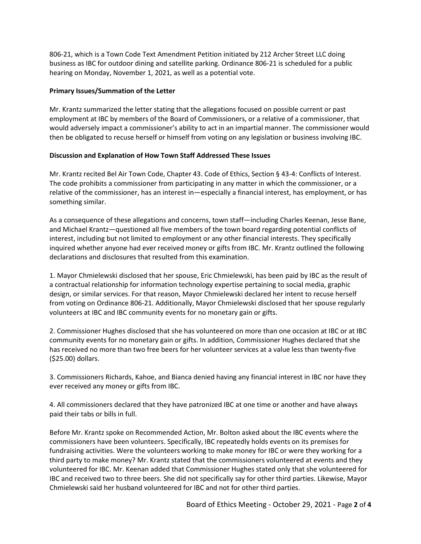806-21, which is a Town Code Text Amendment Petition initiated by 212 Archer Street LLC doing business as IBC for outdoor dining and satellite parking. Ordinance 806-21 is scheduled for a public hearing on Monday, November 1, 2021, as well as a potential vote.

## **Primary Issues/Summation of the Letter**

Mr. Krantz summarized the letter stating that the allegations focused on possible current or past employment at IBC by members of the Board of Commissioners, or a relative of a commissioner, that would adversely impact a commissioner's ability to act in an impartial manner. The commissioner would then be obligated to recuse herself or himself from voting on any legislation or business involving IBC.

## **Discussion and Explanation of How Town Staff Addressed These Issues**

Mr. Krantz recited Bel Air Town Code, Chapter 43. Code of Ethics, Section § 43-4: Conflicts of Interest. The code prohibits a commissioner from participating in any matter in which the commissioner, or a relative of the commissioner, has an interest in—especially a financial interest, has employment, or has something similar.

As a consequence of these allegations and concerns, town staff—including Charles Keenan, Jesse Bane, and Michael Krantz—questioned all five members of the town board regarding potential conflicts of interest, including but not limited to employment or any other financial interests. They specifically inquired whether anyone had ever received money or gifts from IBC. Mr. Krantz outlined the following declarations and disclosures that resulted from this examination.

1. Mayor Chmielewski disclosed that her spouse, Eric Chmielewski, has been paid by IBC as the result of a contractual relationship for information technology expertise pertaining to social media, graphic design, or similar services. For that reason, Mayor Chmielewski declared her intent to recuse herself from voting on Ordinance 806-21. Additionally, Mayor Chmielewski disclosed that her spouse regularly volunteers at IBC and IBC community events for no monetary gain or gifts.

2. Commissioner Hughes disclosed that she has volunteered on more than one occasion at IBC or at IBC community events for no monetary gain or gifts. In addition, Commissioner Hughes declared that she has received no more than two free beers for her volunteer services at a value less than twenty-five (\$25.00) dollars.

3. Commissioners Richards, Kahoe, and Bianca denied having any financial interest in IBC nor have they ever received any money or gifts from IBC.

4. All commissioners declared that they have patronized IBC at one time or another and have always paid their tabs or bills in full.

Before Mr. Krantz spoke on Recommended Action, Mr. Bolton asked about the IBC events where the commissioners have been volunteers. Specifically, IBC repeatedly holds events on its premises for fundraising activities. Were the volunteers working to make money for IBC or were they working for a third party to make money? Mr. Krantz stated that the commissioners volunteered at events and they volunteered for IBC. Mr. Keenan added that Commissioner Hughes stated only that she volunteered for IBC and received two to three beers. She did not specifically say for other third parties. Likewise, Mayor Chmielewski said her husband volunteered for IBC and not for other third parties.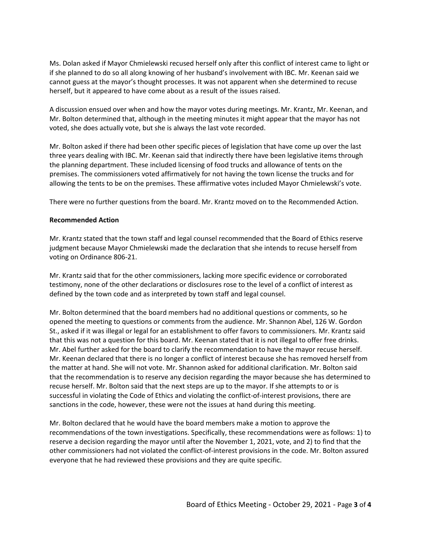Ms. Dolan asked if Mayor Chmielewski recused herself only after this conflict of interest came to light or if she planned to do so all along knowing of her husband's involvement with IBC. Mr. Keenan said we cannot guess at the mayor's thought processes. It was not apparent when she determined to recuse herself, but it appeared to have come about as a result of the issues raised.

A discussion ensued over when and how the mayor votes during meetings. Mr. Krantz, Mr. Keenan, and Mr. Bolton determined that, although in the meeting minutes it might appear that the mayor has not voted, she does actually vote, but she is always the last vote recorded.

Mr. Bolton asked if there had been other specific pieces of legislation that have come up over the last three years dealing with IBC. Mr. Keenan said that indirectly there have been legislative items through the planning department. These included licensing of food trucks and allowance of tents on the premises. The commissioners voted affirmatively for not having the town license the trucks and for allowing the tents to be on the premises. These affirmative votes included Mayor Chmielewski's vote.

There were no further questions from the board. Mr. Krantz moved on to the Recommended Action.

#### **Recommended Action**

Mr. Krantz stated that the town staff and legal counsel recommended that the Board of Ethics reserve judgment because Mayor Chmielewski made the declaration that she intends to recuse herself from voting on Ordinance 806-21.

Mr. Krantz said that for the other commissioners, lacking more specific evidence or corroborated testimony, none of the other declarations or disclosures rose to the level of a conflict of interest as defined by the town code and as interpreted by town staff and legal counsel.

Mr. Bolton determined that the board members had no additional questions or comments, so he opened the meeting to questions or comments from the audience. Mr. Shannon Abel, 126 W. Gordon St., asked if it was illegal or legal for an establishment to offer favors to commissioners. Mr. Krantz said that this was not a question for this board. Mr. Keenan stated that it is not illegal to offer free drinks. Mr. Abel further asked for the board to clarify the recommendation to have the mayor recuse herself. Mr. Keenan declared that there is no longer a conflict of interest because she has removed herself from the matter at hand. She will not vote. Mr. Shannon asked for additional clarification. Mr. Bolton said that the recommendation is to reserve any decision regarding the mayor because she has determined to recuse herself. Mr. Bolton said that the next steps are up to the mayor. If she attempts to or is successful in violating the Code of Ethics and violating the conflict-of-interest provisions, there are sanctions in the code, however, these were not the issues at hand during this meeting.

Mr. Bolton declared that he would have the board members make a motion to approve the recommendations of the town investigations. Specifically, these recommendations were as follows: 1) to reserve a decision regarding the mayor until after the November 1, 2021, vote, and 2) to find that the other commissioners had not violated the conflict-of-interest provisions in the code. Mr. Bolton assured everyone that he had reviewed these provisions and they are quite specific.